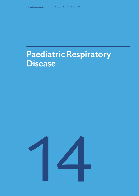# Paediatric Respiratory Disease

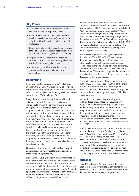# **Key Points**

- 25% of children's consultations with General Practitioners are for respiratory issues
- Acute respiratory infections (including those which are vaccine preventable) continue to be a significant burden on Irish children and Irish health services
- Congenital and perinatal respiratory diseases in terms of death and inpatient hospitalisation are most marked in those aged under 1 year of age
- Respiratory disease accounts for 31.9% of inpatient hospitalisations of those aged 0-4 years and 26.7% of those aged 0-15 years
- Asthma and cystic fibrosis are the chronic respiratory diseases which impact most on childhood

## **Background**

Respiratory problems account for 25% of all visits of children to General Practitioners (GPs)*<sup>1</sup>* . The two chronic respiratory conditions which most commonly affect children in Ireland are asthma (see chapter 6) and cystic fibrosis (CF) (see chapter 7).

Many of the acute respiratory diseases which affect children are of an infectious nature. Many are managed at home in the community. As a number of respiratory infections are notifiable diseases (see chapter 12), national incidence trend data is available. Although the notification numbers for some of these are an underestimate of the true incidence, such as Respiratory Syncytial Virus (RSV) and influenza, they can be used to monitor trends. A number of the notifiable diseases are vaccine preventable and are included in childhood immunisation programmes. Disease notification numbers serve to monitor the effectiveness of these programmes. For other respiratory infections including pneumonia (see chapter 5), and bronchiolitis, the situation on data is as for many diseases i.e. a reliance on mortality data and hospitalisation data.

Of particular importance in childhood are congenital and perinatal respiratory problems and conditions often linked with prematurity.

Bronchiolitis is usually the result of viral inflammation of the bronchioles. RSV infection - a notifiable disease in Ireland since 2012 - is one of the most common causes of bronchiolitis. Bronchiolitis is one of the major causes of hospital admissions in infants under 1 year of age. Other causative viruses for bronchiolitis are human meta-pneumovirus, rhinovirus, adenovirus, parainfluenza virus, enterovirus and influenza virus*<sup>1</sup>* .

Perinatal respiratory conditions, some of which have long term consequences, include respiratory distress of newborn (ICD-10 P22), congenital pneumonia (ICD-10 P23), neonatal aspiration syndromes (ICD-10 P24), air leak syndrome originating in the perinatal period (ICD-10 P25), pulmonary haemorrhage originating in the perinatal period (ICD-10 P26), chronic respiratory disease originating in the perinatal period (ICD-10 P27) (which includes broncho-pulmonary dysplasia (BPD)) and other respiratory conditions originating in the perinatal period (ICD-10 P28).

Primary ciliary dyskinesia (Kartagener Syndrome) (included in ICD-10 J98, Q89.35) is an inherited disorder characterised by specific defects of cilia which results in ineffective clearance of mucous secretions and inhaled particles. The main pulmonary complication is bronchiectasis. The incidence of the disease is low*<sup>1</sup>* . The numbers hospitalised or who die in Ireland each year with this condition are small. It is not discussed further in this chapter.

Congenital malformations of the respiratory system (ICD-10 Q32-34) include abnormalities of the thorax, the lung, the blood supply and the airways. The effects of congenital disorders of the respiratory tract are particularly seen during the first year of life. The incidence is low*<sup>1</sup>* .

Vaccinations are effective in preventing many childhood respiratory infections. Coverage of > 90/95% of children is usually required to achieve herd immunity. In 2016 the childhood immunisation programme in Ireland included, of relevance to the respiratory system, pertussis, measles, mumps, pneumococcus, H. influenza, meningococcus serogroup C and diphtheria. As noted in the chapter on Tuberculosis, BCG has not been available in Ireland since 2015.

In 2016 the immunisation uptakes at 12 and 24 months for both diphtheria (3 doses) and pertussis (3 doses) were 91% and 95%, for Hib (3 doses) 91% and 91%, for PCV2 at 24 months 91% and MMR (1 dose) 92% at 24 months*<sup>2</sup>* . There were regional variations in uptake. In addition to the childhood immunisation programme, influenza vaccination is recommended for children with specified chronic conditions. Both pertussis and influenza vaccination are recommended in pregnancy in part to protect the newborn child.

# **Incidence**

Table 12.1 in Chapter 12 shows the incidence of notifiable diseases of respiratory significance for the decade 2007-2016. Table 14.1 below shows the 2016 data as it relates to the paediatric population.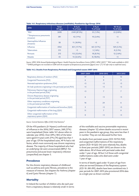#### **Table 14.1. Respiratory infectious diseases (notifiable): Paediatrics Age Group: 2016**

| 2016                                    | Total:<br>All ages | $0-4$ yrs<br>% of total | $5-9$ yrs<br>% of total | 10-14 yrs<br>% of total |
|-----------------------------------------|--------------------|-------------------------|-------------------------|-------------------------|
| *RSV                                    | 2690               | 2349 (87.3%)            | $35(1.3\%)$             | 22 (0.8%)               |
| **Streptococcus pneumonia<br>(invasive) | 381                | 42 (11%)                | $10(2.6\%)$             | < 5                     |
| Haemophilus Influenza<br>(Invasive)     | 58                 | $11(18.9\%)$            | < 5                     | < 5                     |
| Influenza                               | 4764               | 851 (17.7%)             | 461 (9.7%)              | $169(3.5\%)$            |
| <b>Tuberculosis</b>                     | 315                | < 5                     | $5(1.6\%)$              | $8(2.5\%)$              |
| Pertussis                               | 213                | 112 (52.6%)             | 18 (8.5%)               | $12(5.6\%)$             |
| <b>Measles</b>                          | 43                 | 14 (32.6%)              | $8(18.6\%)$             | < 5                     |

*Source: HPSC 2016 Annual Epidemiological Report. Health Protection Surveillance Centre (HPSC). HPSC (2017) 2 \*RSV made notifiable in 2012 \*\*EARSS pathogens not recorded on CIDR with the exception of Streptococcus pneumonia (figures since 1/7/15 refer only to confirmed cases).* 

#### **Table 14.2. Deaths from Respiratory Perinatal and Congenital causes 2007-2015**

|                                                                           | 2007-2009    | 2010-2012 | 2013-2015      |
|---------------------------------------------------------------------------|--------------|-----------|----------------|
| Respiratory distress of newborn (P22)                                     | 17           | 6         | 13             |
| Congenital Pneumonia (P23)                                                | 6            | 9         | 9              |
| Neonatal aspiration syndromes (P24)                                       | < 5          | < 5       | < 5            |
| Air leak syndrome originating in the perinatal period (P25)               | < 5          | < 5       | < 5            |
| Pulmonary Haemorrhage originating<br>in the perinatal period (P26)        | < 5          | 7         | $\overline{7}$ |
| Chronic Respiratory disease originating<br>in the perinatal period (P27)  | 6            | < 5       | < 5            |
| Other respiratory conditions originating<br>in the perinatal period (P28) | 16           | 24        | 6              |
| Congenital malformation of trachea and bronchus (Q32)                     | 5            | < 5       | < 5            |
| Congenital malformation of the lung (Q33)                                 | 11           | 7         | 9              |
| Other congenital malformation of the<br>respiratory system (Q34)          | $\mathbf{0}$ | < 5       | < 5            |

*Source: Central Statistics Office (CSO) Vital Statistics3*

Of the 470 paediatric (0-14years) confirmed cases of influenza in the 2016/2017 season, 268 (57%) were hospitalised (Note: table 14.1 above refers to calendar year 2016). Over 69% (185) of the latter were aged 0-4 years with 27% (74) aged less than 1 year of age. Of the hospitalised cases, 49 % had a risk factor, which most commonly was chronic respiratory disease. The majority of those hospitalised who had an underlying risk were unvaccinated (88%)*<sup>2</sup>* . For pneumonia and acute lower respiratory infection (unspecified) see chapter 5.

# **Prevalence**

For the chronic respiratory diseases of childhood such as asthma and cystic fibrosis, prevalence is the measure of interest. See chapters for Asthma (chapter 6) and Cystic Fibrosis (chapter 7).

# **Mortality**

In Ireland the number of children who die each year from a respiratory disease is relatively small. In terms

of the notifiable and vaccine preventable respiratory diseases (chapter 12) where deaths occurred in recent years in the paediatric age group, they were less than 5 in number. They are not discussed further here.

As deaths from perinatal causes (ICD-10 P22-P28) and congenital malformations of the respiratory system (ICD-10 Q32-34) were relatively few, deaths in three year periods (2007-2015) are shown in the table above. All of those with perinatal codes died under 1 year of age. All but 5 of those with congenital malformations codes who died were under 1 year of age.

In terms of deaths aged under 15 years of age from what are termed Diseases of the Respiratory system (ICD 10: J00-J99), deaths have been combined into 3 year periods for 2007-2015 plus provisional 2016 data as a single year as shown overleaf.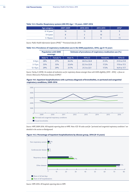#### **Table 14.3. Deaths: Respiratory system (J00-99) Age < 15 years. 2007-2016**

| Age category | 2007-2009 | 2010-2012 | 2013-2015 | 2016* |
|--------------|-----------|-----------|-----------|-------|
| $0-14$ years | 14        | IJ        | 18        |       |
| $0-4$ years  |           |           | 10        |       |
| 5-14years    |           |           |           |       |

*Source: Public Health Information System (PHIS)4 \* Provisional data for 2016*

#### **Table 14.4. Prevalence of respiratory medication use in the GMS population, 2016, age 0-15 years**

|               | <b>Population with GMS</b><br>coverage |          |          |              |          | <b>Estimate of prevalence of respiratory medication use (%)</b> |  |
|---------------|----------------------------------------|----------|----------|--------------|----------|-----------------------------------------------------------------|--|
|               | Male %                                 | Female % | Male $%$ | 95% CI       | Female%  | 95% CI                                                          |  |
| $0-4$ vrs     | 28%                                    | 27%      | 26.4%    | 26.0 to 26.8 | 21.4%    | 21.0 to 21.8                                                    |  |
| $5-11$ yrs    | 35%                                    | 35%      | 22.6%    | 22.3 to 22.8 | $17.2\%$ | 17.0 to 17.5                                                    |  |
| $12 - 15$ yrs | 29%                                    | 29%      | 21.7%    | 21.3 to 22.1 | 17.3%    | 16.9 to 17.7                                                    |  |

*Source: Hurley, E (2018). An analysis of medication use for respiratory disease amongst those with GMS eligibility (2015 - 2016) - a focus on Chronic Obstructive Pulmonary Disease (COPD)5 .* 





*Source: HIPE 2009-2016. All hospitals reporting data to HIPE. Note: ICD 10 codes used for "perinatal and congenital respiratory conditions" are detailed in the section on Background.*



#### **Figure 14.2. Percentage of inpatient hospitalisations by disease group, 2016 (0-15 years)**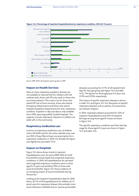

**Figure 14.3. Percentage of inpatient hospitalisations by respiratory condition, 2016 (0-15 years)**

*Source: HIPE 2016. All hospitals reporting data to HIPE*

#### **Impact on Health Services**

Data on many respiratory paediatric diseases are not available at national level for children with full medical cards, those with GP only cards or those who are private patients. This is also true for those who attend GP out of hours services, those who attend Emergency Departments and those who attend hospital Outpatient Departments for their respiratory condition. Inpatient or day case data is only available from HIPE reporting publicly funded hospitals. The majority of acute respiratory infections in children are dealt with in the community.

# **Respiratory medication use**

In terms of respiratory medication use, of children with a full GMS card for the entire calendar year, over one fifth of boys filled at least one prescription for a respiratory medication in 2016. For females the figure was slightly less (see table 14.4)*<sup>5</sup>* .

#### **Impact on Hospitals**

Figure 14.1 above shows trends in inpatient hospitalisations over the years 2009-2016 for both bronchiolitis and perinatal and congenital respiratory conditions. In 2016, all hospitalisations for perinatal and congenital respiratory conditions were in those aged 0-15 years and similarly, 99% of those with acute bronchiolitis. Figure 14.1 shows evidence of an increasing impact of acute bronchiolitis during this period.

Looking at the inpatient hospitalisation data for 2016 alone, 26.7% of all hospitalisations for children (0-15 years) were for respiratory disease (this excludes most acute infectious notifiable and/or vaccine preventable diseases) accounting for 21.7% of all inpatient bed days for that age group (see figure 14.2 and table 14.5). The figures for those aged just 0-4 years was 31.9% and 23.0% respectively.

The impact of specific respiratory diseases is shown in table 14.5 and figure 14.3. For discussion of specific respiratory diseases such as asthma, CF, pneumonia see relevant chapters.

In 2016, respiratory disease accounted for 32% of inpatient hospitalisations and 23% of inpatient bed days among those aged 0-4 years as shown in figure 14.4.

The specific respiratory conditions and their bed day usage for those aged 0-4 years are shown in figure 14.5 and table 14.6.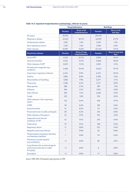|                                                                                        | <b>Hospitalisations</b> |                                         | <b>Bed Days</b> |                                 |
|----------------------------------------------------------------------------------------|-------------------------|-----------------------------------------|-----------------|---------------------------------|
|                                                                                        | <b>Number</b>           | <b>Share of all</b><br>hospitalisations | <b>Number</b>   | <b>Share of all</b><br>bed days |
| All causes                                                                             | 87,749                  |                                         | 294,701         |                                 |
| Respiratory disease                                                                    | 23,422                  | 26.7%                                   | 64,078          | 21.7%                           |
| Cardiovascular disease                                                                 | 1,128                   | 1.3%                                    | 3,539           | 1.2%                            |
| Non-respiratory cancers                                                                | 1,218                   | 1.4%                                    | 5,768           | 2.0%                            |
| Other diseases                                                                         | 61,981                  | 70.6%                                   | 221,316         | 75.1%                           |
| <b>Respiratory disease</b>                                                             | <b>Number</b>           | Share of resp<br>hospitalisations       | <b>Number</b>   | Share of resp bed<br>days       |
| <b>Acute URTI</b>                                                                      | 5,324                   | 22.7%                                   | 9,018           | 14.1%                           |
| Acute bronchiolitis                                                                    | 3,445                   | 14.7%                                   | 11,820          | 18.4%                           |
| Other diseases of URT                                                                  | 2,659                   | 11.4%                                   | 3,404           | 5.3%                            |
| Perinatal and congenital resp<br>conditions                                            | 2,468                   | 10.5%                                   | 12,652          | 19.7%                           |
| Acute lower respiratory infection                                                      | 2,325                   | 9.9%                                    | 6,725           | 10.5%                           |
| Asthma                                                                                 | 1,885                   | 8.0%                                    | 3,599           | 5.6%                            |
| Abnormalities of breathing                                                             | 1,848                   | 7.9%                                    | 3,277           | 5.1%                            |
| Pneumonia                                                                              | 1,508                   | 6.4%                                    | 5,717           | 8.9%                            |
| Sleep apnoea                                                                           | 588                     | 2.5%                                    | 789             | 1.2%                            |
| Influenza                                                                              | 496                     | 2.1%                                    | 1,953           | 3.0%                            |
| <b>Cystic fibrosis</b>                                                                 | 300                     | 1.3%                                    | 2,666           | 4.2%                            |
| Cough                                                                                  | 224                     | 1.0%                                    | 356             | 0.6%                            |
| Other diseases of the respiratory<br>system                                            | 125                     | 0.5%                                    | 438             | 0.7%                            |
| <b>COPD</b>                                                                            | 50                      | 0.2%                                    | 190             | 0.3%                            |
| Acute bronchitis                                                                       | 41                      | 0.2%                                    | 111             | 0.2%                            |
| Pneumonitis due to solids and liquids                                                  | 38                      | 0.2%                                    | 376             | 0.6%                            |
| Other diseases of the pleura                                                           | 23                      | 0.1%                                    | 105             | 0.2%                            |
| Suppurative and necrotic<br>conditions of LRT                                          | 23                      | 0.1%                                    | 259             | 0.4%                            |
| <b>Tuberculosis</b>                                                                    | 19                      | 0.1%                                    | 108             | 0.2%                            |
| Respiratory failure                                                                    | 11                      | 0.0%                                    | 275             | 0.4%                            |
| Idiopathic pulmonary fibrosis                                                          | 7                       | 0.0%                                    | 26              | 0.0%                            |
| Postprocedural respiratory disorders,<br>not elsewhere classified                      | $\overline{7}$          | 0.0%                                    | 115             | 0.2%                            |
| Pulmonary vascular diseases<br>(excl embolism)                                         | < 5                     | 0.0%                                    | 89              | 0.1%                            |
| Lung diseases due to external agents<br>(excl pneumonitis due to solids<br>er liquids) | < 5                     | 0.0%                                    | 8               | 0.0%                            |
| Sarcoidosis                                                                            | < 5                     | 0.0%                                    | < 5             | 0.0%                            |

# **Table 14.5. Inpatient hospitalisations and bed days, 2016 (0-15 years)**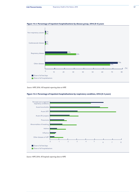

# **Figure 14.4. Percentage of inpatient hospitalisations by disease group, 2016 (0-4) years**





*Source: HIPE 2016. All hospitals reporting data to HIPE*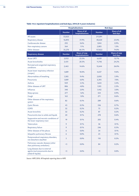|                                                                                       | <b>Hospitalisations</b> |                                         | <b>Bed days</b> |                                 |
|---------------------------------------------------------------------------------------|-------------------------|-----------------------------------------|-----------------|---------------------------------|
|                                                                                       | <b>Number</b>           | <b>Share of all</b><br>hospitalisations | <b>Number</b>   | <b>Share of all</b><br>bed days |
| All causes                                                                            | 53,025                  |                                         | 211,091         |                                 |
| Respiratory disease                                                                   | 16,893                  | 31.9%                                   | 48,620          | 23.0%                           |
| Cardiovascular disease                                                                | 292                     | 0.6%                                    | 1,844           | 0.9%                            |
| Non-respiratory cancers                                                               | 564                     | 1.1%                                    | 2,805           | 1.3%                            |
| Other diseases                                                                        | 35,276                  | 66.5%                                   | 157,822         | 74.8%                           |
| <b>Respiratory disease</b>                                                            | <b>Number</b>           | Share of resp<br>hospitalisations       | <b>Number</b>   | Share of resp<br>bed days       |
| <b>Acute URTI</b>                                                                     | 3,933                   | 23.3%                                   | 6,639           | 13.7%                           |
| <b>Acute bronchiolitis</b>                                                            | 3,431                   | 20.3%                                   | 11,746          | 24.2%                           |
| Perinatal and congenital respiratory<br>conditions                                    | 2,465                   | 14.6%                                   | 12,644          | 26.0%                           |
| Acute lower respiratory infection<br>(unspec)                                         | 1,689                   | 10.0%                                   | 4,657           | 9.6%                            |
| Abnormalities of breathing                                                            | 1,585                   | 9.4%                                    | 2,850           | 5.9%                            |
| Pneumonia                                                                             | 1,009                   | 6.0%                                    | 3,395           | 7.0%                            |
| Asthma                                                                                | 929                     | 5.5%                                    | 1,644           | 3.4%                            |
| Other diseases of URT                                                                 | 806                     | 4.8%                                    | 1,103           | 2.3%                            |
| Influenza                                                                             | 340                     | 2.0%                                    | 1,442           | 3.0%                            |
| Sleep apnoea                                                                          | 277                     | 1.6%                                    | 424             | 0.9%                            |
| Cough                                                                                 | 163                     | 1.0%                                    | 271             | 0.6%                            |
| Other diseases of the respiratory<br>system                                           | 82                      | 0.5%                                    | 289             | 0.6%                            |
| <b>Cystic fibrosis</b>                                                                | 43                      | 0.3%                                    | 336             | 0.7%                            |
| <b>COPD</b>                                                                           | 32                      | 0.2%                                    | 73              | 0.2%                            |
| Acute bronchitis                                                                      | 32                      | 0.2%                                    | 87              | 0.2%                            |
| Pneumonitis due to solids and liquids                                                 | 20                      | 0.1%                                    | 278             | 0.6%                            |
| Suppurative and necrotic conditions of<br>the lower respiratory tract                 | 19                      | 0.1%                                    | 205             | 0.4%                            |
| <b>Tuberculosis</b>                                                                   | 9                       | 0.1%                                    | 36              | 0.1%                            |
| Respiratory failure                                                                   | 9                       | 0.1%                                    | 246             | 0.5%                            |
| Other diseases of the pleura                                                          | 6                       | 0.0%                                    | 34              | 0.1%                            |
| Idiopathic pulmonary fibrosis                                                         | 6                       | 0.0%                                    | 25              | 0.1%                            |
| Postprocedural respiratory disorders,<br>not elsewhere classified                     | 5                       | 0.0%                                    | 110             | 0.2%                            |
| Pulmonary vascular diseases (other<br>than pulmonary embolism)                        | < 5                     | 0.0%                                    | 84              | 0.2%                            |
| Lung diseases due to external<br>agents (excl pneumonitis due to<br>solids & liquids) | < 5                     | 0.0%                                    | < 5             | 0.0%                            |

# **Table 14.6. inpatient hospitalisations and bed days, 2016 (0-4 years inclusive)**